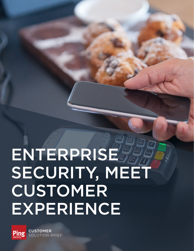# ENTERPRISE & SECURITY, MEET CUSTOMER EXPERIENCE



CUSTOMER **BRIEF**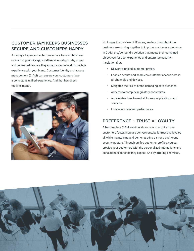## CUSTOMER IAM KEEPS BUSINESSES SECURE AND CUSTOMERS HAPPY

As today's hyper-connected customers transact business online using mobile apps, self-service web portals, kiosks and connected devices, they expect a secure and frictionless experience with your brand. Customer identity and access management (CIAM) can ensure your customers have a consistent, unified experience. And that has direct top-line impact.



No longer the purview of IT alone, leaders throughout the business are coming together to improve customer experience. In CIAM, they've found a solution that meets their combined objectives for user experience and enterprise security. A solution that:

- Delivers a unified customer profile.
- Enables secure and seamless customer access across all channels and devices.
- Mitigates the risk of brand-damaging data breaches.
- Adheres to complex regulatory constraints.
- Accelerates time to market for new applications and services.
- Increases scale and performance.

#### PREFERENCE + TRUST = LOYALTY

A best-in-class CIAM solution allows you to acquire more customers faster, increase conversions, build trust and loyalty, all while maintaining and demonstrating a strong end-to-end security posture. Through unified customer profiles, you can provide your customers with the personalized interactions and consistent experience they expect. And by offering seamless,

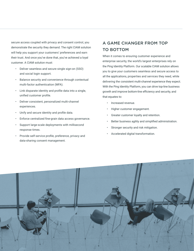secure access coupled with privacy and consent control, you demonstrate the security they demand. The right CIAM solution will help you support your customers' preferences and earn their trust. And once you've done that, you've achieved a loyal customer. A CIAM solution must:

- Deliver seamless and secure single sign-on (SSO) and social login support.
- Balance security and convenience through contextual multi-factor authentication (MFA).
- Link disparate identity and profile data into a single, unified customer profile.
- Deliver consistent, personalized multi-channel experiences.
- Unify and secure identity and profile data.
- Enforce centralized fine-grain data access governance.
- Support large-scale deployments with millisecond response times.
- Provide self-service profile, preference, privacy and data-sharing consent management.

## A GAME CHANGER FROM TOP TO BOTTOM

When it comes to ensuring customer experience and enterprise security, the world's largest enterprises rely on the Ping Identity Platform. Our scalable CIAM solution allows you to give your customers seamless and secure access to all the applications, properties and services they need, while delivering the consistent multi-channel experience they expect. With the Ping Identity Platform, you can drive top-line business growth and improve bottom-line efficiency and security, and that equates to:

- Increased revenue.
- Higher customer engagement.
- Greater customer loyalty and retention.
- Better business agility and simplified administration.
- Stronger security and risk mitigation.
- Accelerated digital transformation.